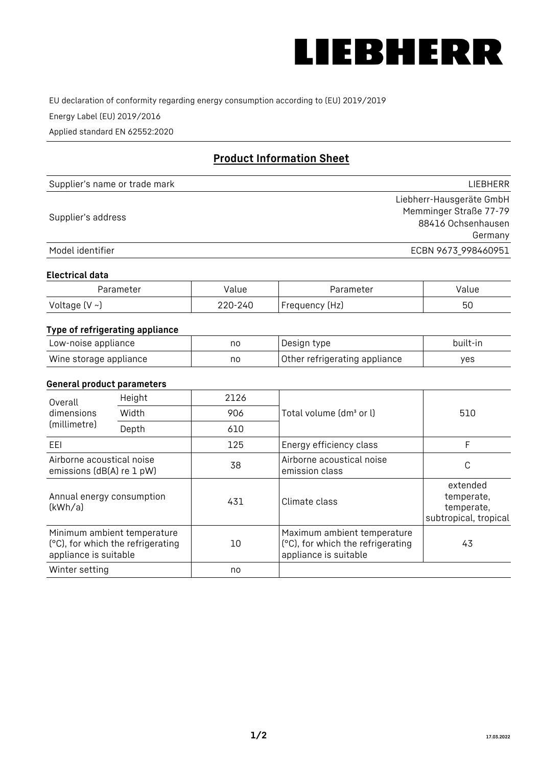

EU declaration of conformity regarding energy consumption according to (EU) 2019/2019

Energy Label (EU) 2019/2016

Applied standard EN 62552:2020

# **Product Information Sheet**

| Supplier's name or trade mark | LIEBHERR                 |
|-------------------------------|--------------------------|
|                               | Liebherr-Hausgeräte GmbH |
| Supplier's address            | Memminger Straße 77-79   |
|                               | 88416 Ochsenhausen       |
|                               | Germany                  |
| Model identifier              | ECBN 9673_998460951      |

#### **Electrical data**

| Parameter           | Value   | Parameter      | Value |
|---------------------|---------|----------------|-------|
| Voltage (V $\sim$ ) | 220-240 | Frequency (Hz) | 50    |

## **Type of refrigerating appliance**

| Low-noise appliance    | no | Design type                   | built-in |
|------------------------|----|-------------------------------|----------|
| Wine storage appliance | no | Other refrigerating appliance | yes      |

### **General product parameters**

| Overall<br>dimensions<br>(millimetre)                  | Height                                                           | 2126 |                                                                                           | 510                                                           |
|--------------------------------------------------------|------------------------------------------------------------------|------|-------------------------------------------------------------------------------------------|---------------------------------------------------------------|
|                                                        | Width                                                            | 906  | Total volume (dm <sup>3</sup> or l)                                                       |                                                               |
|                                                        | Depth                                                            | 610  |                                                                                           |                                                               |
| EEL                                                    |                                                                  | 125  | Energy efficiency class                                                                   | F                                                             |
| Airborne acoustical noise<br>emissions (dB(A) re 1 pW) |                                                                  | 38   | Airborne acoustical noise<br>emission class                                               | С                                                             |
| Annual energy consumption<br>(kWh/a)                   |                                                                  | 431  | Climate class                                                                             | extended<br>temperate,<br>temperate,<br>subtropical, tropical |
| appliance is suitable                                  | Minimum ambient temperature<br>(°C), for which the refrigerating | 10   | Maximum ambient temperature<br>(°C), for which the refrigerating<br>appliance is suitable | 43                                                            |
| Winter setting                                         |                                                                  | no   |                                                                                           |                                                               |